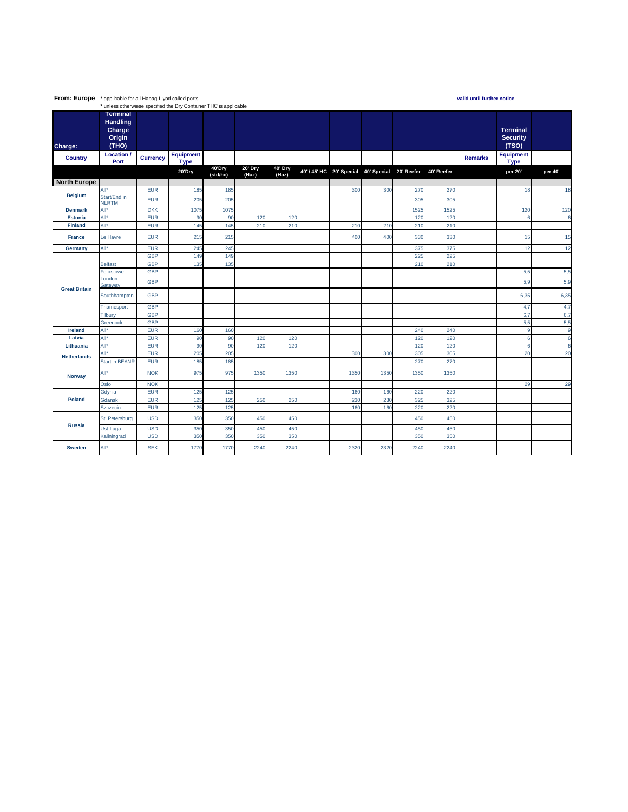| From: Europe         | * applicable for all Hapag-Llyod called ports<br>valid until further notice |                 |                  |          |         |         |  |                                                 |      |      |            |                |                  |         |
|----------------------|-----------------------------------------------------------------------------|-----------------|------------------|----------|---------|---------|--|-------------------------------------------------|------|------|------------|----------------|------------------|---------|
|                      | * unless otherwiese specified the Dry Container THC is applicable           |                 |                  |          |         |         |  |                                                 |      |      |            |                |                  |         |
|                      | <b>Terminal</b>                                                             |                 |                  |          |         |         |  |                                                 |      |      |            |                |                  |         |
|                      | <b>Handling</b>                                                             |                 |                  |          |         |         |  |                                                 |      |      |            |                |                  |         |
|                      | Charge                                                                      |                 |                  |          |         |         |  |                                                 |      |      |            |                | <b>Terminal</b>  |         |
|                      | Origin                                                                      |                 |                  |          |         |         |  |                                                 |      |      |            |                | <b>Security</b>  |         |
| Charge:              | (THO)                                                                       |                 |                  |          |         |         |  |                                                 |      |      |            |                | (TSO)            |         |
|                      | Location                                                                    |                 | <b>Equipment</b> |          |         |         |  |                                                 |      |      |            |                | <b>Equipment</b> |         |
| <b>Country</b>       | Port                                                                        | <b>Currency</b> | <b>Type</b>      |          |         |         |  |                                                 |      |      |            | <b>Remarks</b> | <b>Type</b>      |         |
|                      |                                                                             |                 | 20'Dry           | 40'Dry   | 20' Dry | 40' Dry |  | 40' / 45' HC 20' Special 40' Special 20' Reefer |      |      | 40' Reefer |                | per 20'          | per 40' |
|                      |                                                                             |                 |                  | (std/hc) | (Haz)   | (Haz)   |  |                                                 |      |      |            |                |                  |         |
| <b>North Europe</b>  |                                                                             |                 |                  |          |         |         |  |                                                 |      |      |            |                |                  |         |
| <b>Belgium</b>       | All*                                                                        | <b>EUR</b>      | 185              | 185      |         |         |  | 300                                             | 300  | 270  | 270        |                | 18               | 18      |
|                      | Start/End in<br><b>NLRTM</b>                                                | <b>EUR</b>      | 205              | 205      |         |         |  |                                                 |      | 305  | 305        |                |                  |         |
| <b>Denmark</b>       | All*                                                                        | <b>DKK</b>      | 1075             | 1075     |         |         |  |                                                 |      | 1525 | 1525       |                | 120              | 120     |
| <b>Estonia</b>       | All*                                                                        | <b>EUR</b>      | 90               | 90       | 120     | 120     |  |                                                 |      | 120  | 120        |                | F                | 6       |
| <b>Finland</b>       | All <sup>*</sup>                                                            | <b>EUR</b>      | 145              | 145      | 210     | 210     |  | 210                                             | 210  | 210  | 210        |                |                  |         |
| <b>France</b>        | Le Havre                                                                    | <b>EUR</b>      | 215              | 215      |         |         |  | 400                                             | 400  | 330  | 330        |                | 15               | 15      |
| Germany              | All*                                                                        | <b>EUR</b>      | 245              | 245      |         |         |  |                                                 |      | 375  | 375        |                | 12               | 12      |
| <b>Great Britain</b> |                                                                             | <b>GBP</b>      | 149              | 149      |         |         |  |                                                 |      | 225  | 225        |                |                  |         |
|                      | <b>Belfast</b>                                                              | <b>GBP</b>      | 135              | 135      |         |         |  |                                                 |      | 210  | 210        |                |                  |         |
|                      | Felixstowe                                                                  | <b>GBP</b>      |                  |          |         |         |  |                                                 |      |      |            |                | 5,5              | 5,5     |
|                      | London<br>Gateway                                                           | <b>GBP</b>      |                  |          |         |         |  |                                                 |      |      |            |                | 5,9              | 5,9     |
|                      | Southhampton                                                                | <b>GBP</b>      |                  |          |         |         |  |                                                 |      |      |            |                | 6,35             | 6,35    |
|                      | Thamesport                                                                  | <b>GBP</b>      |                  |          |         |         |  |                                                 |      |      |            |                | 4,7              | 4,7     |
|                      | Tilbury                                                                     | <b>GBP</b>      |                  |          |         |         |  |                                                 |      |      |            |                | 6,7              | 6,7     |
|                      | Greenock                                                                    | <b>GBP</b>      |                  |          |         |         |  |                                                 |      |      |            |                | 5,5              | 5,5     |
| Ireland              | All*                                                                        | <b>EUR</b>      | 160              | 160      |         |         |  |                                                 |      | 240  | 240        |                | -9               | g       |
| Latvia               | All <sup>*</sup>                                                            | <b>EUR</b>      | 90               | 90       | 120     | 120     |  |                                                 |      | 120  | 120        |                | -6               | 6       |
| Lithuania            | All*                                                                        | <b>EUR</b>      | 90               | 90       | 120     | 120     |  |                                                 |      | 120  | 120        |                | 6                | 6       |
| <b>Netherlands</b>   | All*                                                                        | <b>EUR</b>      | 205              | 205      |         |         |  | 300                                             | 300  | 305  | 305        |                | 20               | 20      |
|                      | <b>Start in BEANR</b>                                                       | <b>EUR</b>      | 185              | 185      |         |         |  |                                                 |      | 270  | 270        |                |                  |         |
| <b>Norway</b>        | All*                                                                        | <b>NOK</b>      | 975              | 975      | 1350    | 1350    |  | 1350                                            | 1350 | 1350 | 1350       |                |                  |         |
|                      | Oslo                                                                        | <b>NOK</b>      |                  |          |         |         |  |                                                 |      |      |            |                | 29               | 29      |
|                      | Gdynia                                                                      | <b>EUR</b>      | 125              | 125      |         |         |  | 160                                             | 160  | 220  | 220        |                |                  |         |
| Poland               | Gdansk                                                                      | <b>EUR</b>      | 125              | 125      | 250     | 250     |  | 230                                             | 230  | 325  | 325        |                |                  |         |
|                      | <b>Szczecin</b>                                                             | <b>EUR</b>      | 125              | 125      |         |         |  | 160                                             | 160  | 220  | 220        |                |                  |         |
|                      | St. Petersburg                                                              | <b>USD</b>      | 350              | 350      | 450     | 450     |  |                                                 |      | 450  | 450        |                |                  |         |
| <b>Russia</b>        | Ust-Luga                                                                    | <b>USD</b>      | 350              | 350      | 450     | 450     |  |                                                 |      | 450  | 450        |                |                  |         |
|                      | Kaliningrad                                                                 | <b>USD</b>      | 350              | 350      | 350     | 350     |  |                                                 |      | 350  | 350        |                |                  |         |
| Sweden               | All*                                                                        | <b>SEK</b>      | 1770             | 1770     | 2240    | 2240    |  | 2320                                            | 2320 | 2240 | 2240       |                |                  |         |